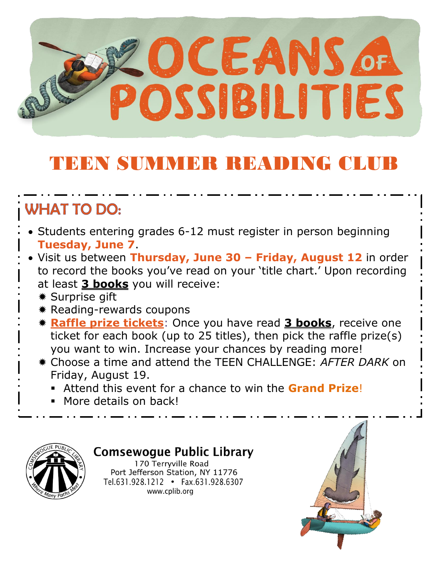

## TEEN SUMMER READING CLUB

### **WHAT TO DO:**

- Students entering grades 6-12 must register in person beginning **Tuesday, June 7**.
- Visit us between **Thursday, June 30 – Friday, August 12** in order to record the books you've read on your 'title chart.' Upon recording at least **3 books** you will receive:
	- Surprise gift
	- \* Reading-rewards coupons
	- **Raffle prize tickets**: Once you have read **3 books**, receive one ticket for each book (up to 25 titles), then pick the raffle prize(s) you want to win. Increase your chances by reading more!
	- Choose a time and attend the TEEN CHALLENGE: *AFTER DARK* on Friday, August 19.
		- Attend this event for a chance to win the **Grand Prize**!
		- More details on back!



### **Comsewogue Public Library**

170 Terryville Road Port Jefferson Station, NY 11776 Tel.631.928.1212 • Fax.631.928.6307 www.cplib.org